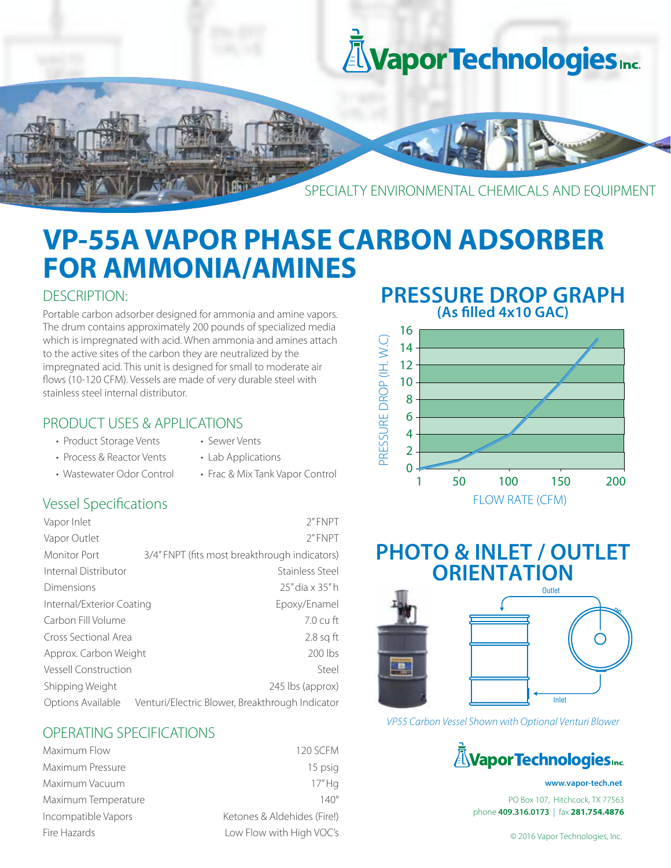

# **VP-55A VAPOR PHASE CARBON ADSORBER FOR AMMONIA/AMINES**

### DESCRIPTION:

Portable carbon adsorber designed for ammonia and amine vapors. The drum contains approximately 200 pounds of specialized media which is impregnated with acid. When ammonia and amines attach to the active sites of the carbon they are neutralized by the impregnated acid. This unit is designed for small to moderate air flows (10-120 CFM). Vessels are made of very durable steel with stainless steel internal distributor.

### PRODUCT USES & APPLICATIONS

- Product Storage Vents Sewer Vents
- 
- Process & Reactor Vents Lab Applications
- Wastewater Odor Control Frac & Mix Tank Vapor Control

### Vessel Specifications

| Vapor Inlet                 | 2"FNPT                                          |
|-----------------------------|-------------------------------------------------|
| Vapor Outlet                | 2"FNPT                                          |
| Monitor Port                | 3/4" FNPT (fits most breakthrough indicators)   |
| Internal Distributor        | Stainless Steel                                 |
| Dimensions                  | 25" dia x 35" h                                 |
| Internal/Exterior Coating   | Epoxy/Enamel                                    |
| Carbon Fill Volume          | $7.0 \mathrm{cm}$ ft                            |
| Cross Sectional Area        | $2.8$ sq ft                                     |
| Approx. Carbon Weight       | 200 lbs                                         |
| <b>Vessell Construction</b> | Steel                                           |
| Shipping Weight             | 245 lbs (approx)                                |
| Options Available           | Venturi/Electric Blower, Breakthrough Indicator |

### OPERATING SPECIFICATIONS

| Maximum Flow        | <b>120 SCFM</b>             |
|---------------------|-----------------------------|
| Maximum Pressure    | 15 psig                     |
| Maximum Vacuum      | 17"Hg                       |
| Maximum Temperature | $140^\circ$                 |
| Incompatible Vapors | Ketones & Aldehides (Fire!) |
| Fire Hazards        | Low Flow with High VOC's    |

### **PRESSURE DROP GRAPH (As lled 4x10 GAC)**



## **PHOTO & INLET / OUTLET ORIENTATION**



*VP55 Carbon Vessel Shown with Optional Venturi Blower*



#### **www.vapor-tech.net**

PO Box 107, Hitchcock, TX 77563 phone **409.316.0173** | fax **281.754.4876**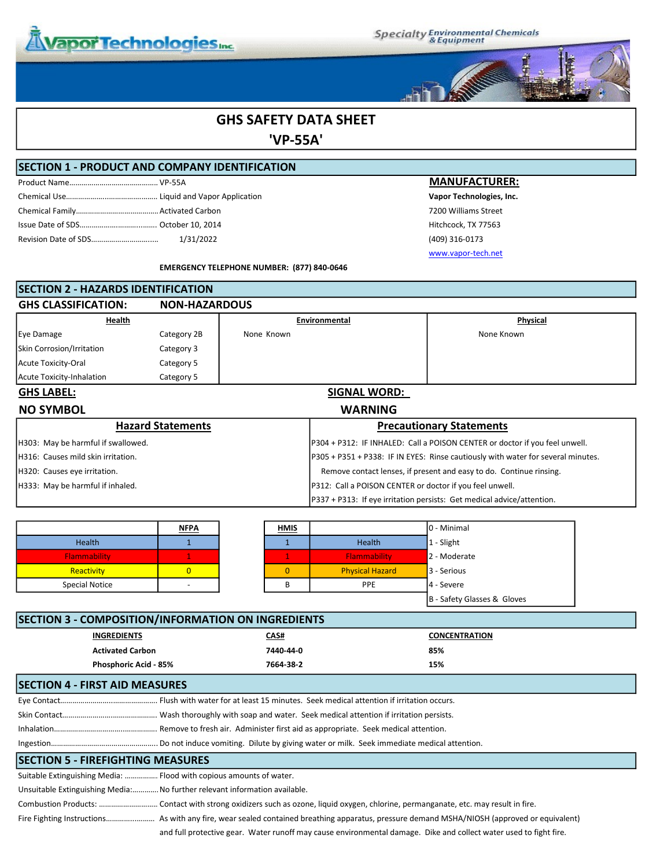

**Specialty Environmental Chemicals**<br>& Equipment



### GHS SAFETY DATA SHEET

'VP-55A'

#### SECTION 1 - PRODUCT AND COMPANY IDENTIFICATION

#### **MANUFACTURER:**

Vapor Technologies, Inc. 7200 Williams Street Hitchcock, TX 77563 Revision Date of SDS……………….………...…….. 1/31/2022 (409) 316-0173 www.vapor-tech.net

EMERGENCY TELEPHONE NUMBER: (877) 840-0646

| <b>ISECTION 2 - HAZARDS IDENTIFICATION</b> |                          |                                                                                  |                                                          |                                                                             |
|--------------------------------------------|--------------------------|----------------------------------------------------------------------------------|----------------------------------------------------------|-----------------------------------------------------------------------------|
| <b>GHS CLASSIFICATION:</b>                 | <b>NON-HAZARDOUS</b>     |                                                                                  |                                                          |                                                                             |
| Health                                     |                          | Environmental                                                                    |                                                          | Physical                                                                    |
| Eye Damage                                 | Category 2B              | None Known                                                                       |                                                          | None Known                                                                  |
| Skin Corrosion/Irritation                  | Category 3               |                                                                                  |                                                          |                                                                             |
| Acute Toxicity-Oral                        | Category 5               |                                                                                  |                                                          |                                                                             |
| Acute Toxicity-Inhalation                  | Category 5               |                                                                                  |                                                          |                                                                             |
| <b>GHS LABEL:</b>                          |                          |                                                                                  | <b>SIGNAL WORD:</b>                                      |                                                                             |
| <b>NO SYMBOL</b>                           |                          |                                                                                  | <b>WARNING</b>                                           |                                                                             |
|                                            | <b>Hazard Statements</b> |                                                                                  |                                                          | <b>Precautionary Statements</b>                                             |
| H303: May be harmful if swallowed.         |                          |                                                                                  |                                                          | P304 + P312: IF INHALED: Call a POISON CENTER or doctor if you feel unwell. |
| IH316: Causes mild skin irritation.        |                          | P305 + P351 + P338: IF IN EYES: Rinse cautiously with water for several minutes. |                                                          |                                                                             |
| H320: Causes eye irritation.               |                          | Remove contact lenses, if present and easy to do. Continue rinsing.              |                                                          |                                                                             |
| H333: May be harmful if inhaled.           |                          |                                                                                  | P312: Call a POISON CENTER or doctor if you feel unwell. |                                                                             |
|                                            |                          |                                                                                  |                                                          | P337 + P313: If eye irritation persists: Get medical advice/attention.      |

|                       | <u>NFPA</u> | <b>HMIS</b> |                        | 0 - Minimal                 |
|-----------------------|-------------|-------------|------------------------|-----------------------------|
| Health                |             |             | Health                 | 1 - Slight                  |
| Flammability          |             |             | Flammability           | 2 - Moderate                |
| Reactivity            |             |             | <b>Physical Hazard</b> | 3 - Serious                 |
| <b>Special Notice</b> |             |             | <b>PPE</b>             | 4 - Severe                  |
|                       |             |             |                        | B - Safety Glasses & Gloves |

| <b>SECTION 3 - COMPOSITION/INFORMATION ON INGREDIENTS</b>                  |                              |     |  |  |
|----------------------------------------------------------------------------|------------------------------|-----|--|--|
| <b>INGREDIENTS</b>                                                         | <b>CONCENTRATION</b><br>CAS# |     |  |  |
| <b>Activated Carbon</b>                                                    | 7440-44-0                    | 85% |  |  |
| <b>Phosphoric Acid - 85%</b>                                               | 7664-38-2                    | 15% |  |  |
| <b>SECTION 4 - FIRST AID MEASURES</b>                                      |                              |     |  |  |
|                                                                            |                              |     |  |  |
|                                                                            |                              |     |  |  |
|                                                                            |                              |     |  |  |
|                                                                            |                              |     |  |  |
| <b>SECTION 5 - FIREFIGHTING MEASURES</b>                                   |                              |     |  |  |
| Suitable Extinguishing Media:  Flood with copious amounts of water.        |                              |     |  |  |
| Unsuitable Extinguishing Media: No further relevant information available. |                              |     |  |  |
|                                                                            |                              |     |  |  |

| and full protective gear. Water runoff may cause environmental damage. Dike and collect water used to fight fire. |
|-------------------------------------------------------------------------------------------------------------------|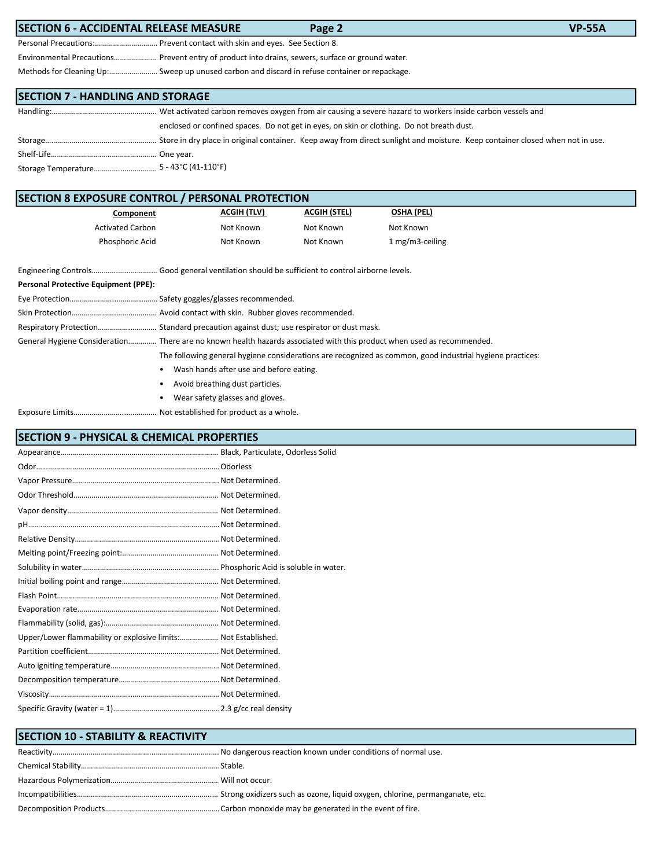| <b>SECTION 6 - ACCIDENTAL RELEASE MEASURE</b><br>Page 2                                          | <b>VP-55A</b> |
|--------------------------------------------------------------------------------------------------|---------------|
| Personal Precautions: Prevent contact with skin and eyes. See Section 8.                         |               |
| Environmental Precautions Prevent entry of product into drains, sewers, surface or ground water. |               |
| Methods for Cleaning Up: Sweep up unused carbon and discard in refuse container or repackage.    |               |
|                                                                                                  |               |
| <b>SECTION 7 - HANDLING AND STORAGE</b>                                                          |               |

| enclosed or confined spaces. Do not get in eyes, on skin or clothing. Do not breath dust. |
|-------------------------------------------------------------------------------------------|
|                                                                                           |
|                                                                                           |
|                                                                                           |

| <b>SECTION 8 EXPOSURE CONTROL / PERSONAL PROTECTION</b> |                    |                     |                   |
|---------------------------------------------------------|--------------------|---------------------|-------------------|
| Component                                               | <b>ACGIH (TLV)</b> | <b>ACGIH (STEL)</b> | <b>OSHA (PEL)</b> |
| <b>Activated Carbon</b>                                 | Not Known          | Not Known           | Not Known         |
| Phosphoric Acid                                         | Not Known          | Not Known           | 1 mg/m3-ceiling   |

|                                      | Engineering Controls Good general ventilation should be sufficient to control airborne levels.                         |
|--------------------------------------|------------------------------------------------------------------------------------------------------------------------|
| Personal Protective Equipment (PPE): |                                                                                                                        |
|                                      |                                                                                                                        |
|                                      |                                                                                                                        |
|                                      | Respiratory Protection Standard precaution against dust; use respirator or dust mask.                                  |
|                                      | General Hygiene Consideration There are no known health hazards associated with this product when used as recommended. |
|                                      | The following general hygiene considerations are recognized as common, good industrial hygiene practices:              |
|                                      | Wash hands after use and before eating.<br>$\bullet$                                                                   |
|                                      | Avoid breathing dust particles.<br>٠                                                                                   |

- Wear safety glasses and gloves.
- Exposure Limits……………………..………………………. Not established for product as a whole.

### SECTION 9 - PHYSICAL & CHEMICAL PROPERTIES

| Upper/Lower flammability or explosive limits: Not Established. |  |
|----------------------------------------------------------------|--|
|                                                                |  |
|                                                                |  |
|                                                                |  |
|                                                                |  |
|                                                                |  |

| <b>SECTION 10 - STABILITY &amp; REACTIVITY</b> |  |
|------------------------------------------------|--|
|                                                |  |
|                                                |  |
|                                                |  |
|                                                |  |
|                                                |  |